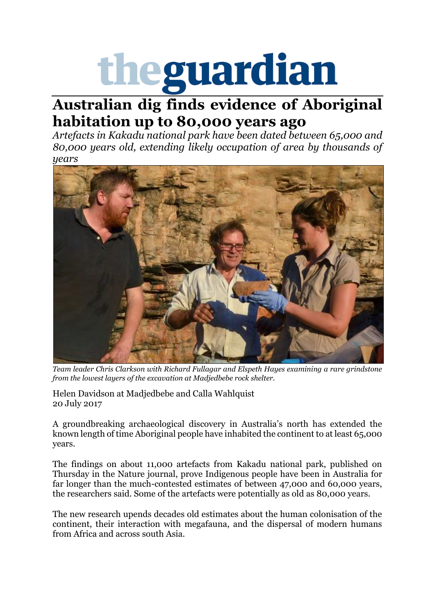## **Australian dig finds evidence of Aboriginal**

## **habitation up to 80,000 years ago**

*Artefacts in Kakadu national park have been dated between 65,000 and 80,000 years old, extending likely occupation of area by thousands of years*



*Team leader Chris Clarkson with Richard Fullagar and Elspeth Hayes examining a rare grindstone from the lowest layers of the excavation at Madjedbebe rock shelter.*

[Helen Davidson](https://www.theguardian.com/profile/helen-davidson) at Madjedbebe and [Calla Wahlquist](https://www.theguardian.com/profile/calla-wahlquist) 20 July 2017

A groundbreaking archaeological discovery in Australia's north has extended the known length of time Aboriginal people have inhabited the continent to at least 65,000 years.

The findings on about 11,000 artefacts from Kakadu national park, published on Thursday in the Nature journal, prove Indigenous people have been in Australia for far longer than the much-contested estimates of between 47,000 and 60,000 years, the researchers said. Some of the artefacts were potentially as old as 80,000 years.

The new research upends decades old estimates about the human colonisation of the continent, their interaction with megafauna, and the dispersal of modern humans from Africa and across south Asia.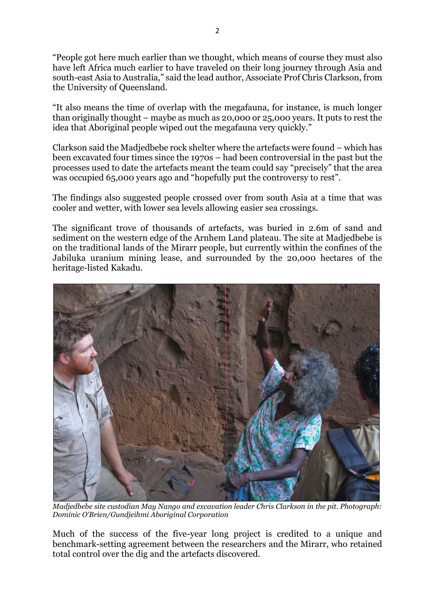"People got here much earlier than we thought, which means of course they must also have left Africa much earlier to have traveled on their long journey through Asia and south-east Asia to Australia," said the lead author, Associate Prof Chris Clarkson, from the University of Queensland.

"It also means the time of overlap with the megafauna, for instance, is much longer than originally thought – maybe as much as 20,000 or 25,000 years. It puts to rest the idea that Aboriginal people wiped out the megafauna very quickly."

Clarkson said the Madjedbebe rock shelter where the artefacts were found – which has been excavated four times since the 1970s – had been controversial in the past but the processes used to date the artefacts meant the team could say "precisely" that the area was occupied 65,000 years ago and "hopefully put the controversy to rest".

The findings also suggested people crossed over from south Asia at a time that was cooler and wetter, with lower sea levels allowing easier sea crossings.

The significant trove of thousands of artefacts, was buried in 2.6m of sand and sediment on the western edge of the Arnhem Land plateau. The site at Madjedbebe is on the traditional lands of the Mirarr people, but currently within the confines of the Jabiluka uranium mining lease, and surrounded by the 20,000 hectares of the heritage-listed Kakadu.



*Madjedbebe site custodian May Nango and excavation leader Chris Clarkson in the pit. Photograph: Dominic O'Brien/Gundjeihmi Aboriginal Corporation*

Much of the success of the five-year long project is credited to a unique and benchmark-setting agreement between the researchers and the Mirarr, who retained total control over the dig and the artefacts discovered.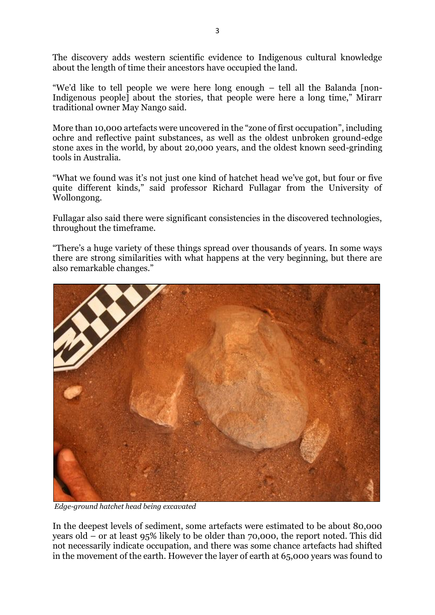The discovery adds western scientific evidence to Indigenous cultural knowledge about the length of time their ancestors have occupied the land.

"We'd like to tell people we were here long enough – tell all the Balanda [non-Indigenous people] about the stories, that people were here a long time," Mirarr traditional owner May Nango said.

More than 10,000 artefacts were uncovered in the "zone of first occupation", including ochre and reflective paint substances, as well as the oldest unbroken ground-edge stone axes in the world, by about 20,000 years, and the oldest known seed-grinding tools in Australia.

"What we found was it's not just one kind of hatchet head we've got, but four or five quite different kinds," said professor Richard Fullagar from the University of Wollongong.

Fullagar also said there were significant consistencies in the discovered technologies, throughout the timeframe.

"There's a huge variety of these things spread over thousands of years. In some ways there are strong similarities with what happens at the very beginning, but there are also remarkable changes."



*Edge-ground hatchet head being excavated*

In the deepest levels of sediment, some artefacts were estimated to be about 80,000 years old – or at least 95% likely to be older than 70,000, the report noted. This did not necessarily indicate occupation, and there was some chance artefacts had shifted in the movement of the earth. However the layer of earth at 65,000 years was found to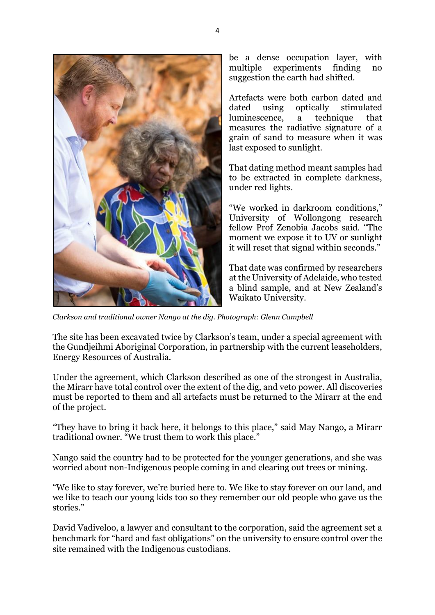

be a dense occupation layer, with multiple experiments finding no suggestion the earth had shifted[.](https://www.theguardian.com/australia-news/2017/jul/19/dig-finds-evidence-of-aboriginal-habitation-up-to-80000-years-ago#img-3)

Artefacts were both carbon dated and dated using optically stimulated luminescence, a technique that measures the radiative signature of a grain of sand to measure when it was last exposed to sunlight.

That dating method meant samples had to be extracted in complete darkness, under red lights.

"We worked in darkroom conditions," University of Wollongong research fellow Prof Zenobia Jacobs said. "The moment we expose it to UV or sunlight it will reset that signal within seconds."

That date was confirmed by researchers at the University of Adelaide, who tested a blind sample, and at New Zealand's Waikato University.

*Clarkson and traditional owner Nango at the dig. Photograph: Glenn Campbell*

The site has been excavated twice by Clarkson's team, under a special agreement with the Gundjeihmi Aboriginal Corporation, in partnership with the current leaseholders, Energy Resources of Australia.

Under the agreement, which Clarkson described as one of the strongest in Australia, the Mirarr have total control over the extent of the dig, and veto power. All discoveries must be reported to them and all artefacts must be returned to the Mirarr at the end of the project.

"They have to bring it back here, it belongs to this place," said May Nango, a Mirarr traditional owner. "We trust them to work this place."

Nango said the country had to be protected for the younger generations, and she was worried about non-Indigenous people coming in and clearing out trees or mining.

"We like to stay forever, we're buried here to. We like to stay forever on our land, and we like to teach our young kids too so they remember our old people who gave us the stories.["](https://www.theguardian.com/australia-news/2017/jul/19/dig-finds-evidence-of-aboriginal-habitation-up-to-80000-years-ago#img-4)

David Vadiveloo, a lawyer and consultant to the corporation, said the agreement set a benchmark for "hard and fast obligations" on the university to ensure control over the site remained with the Indigenous custodians.